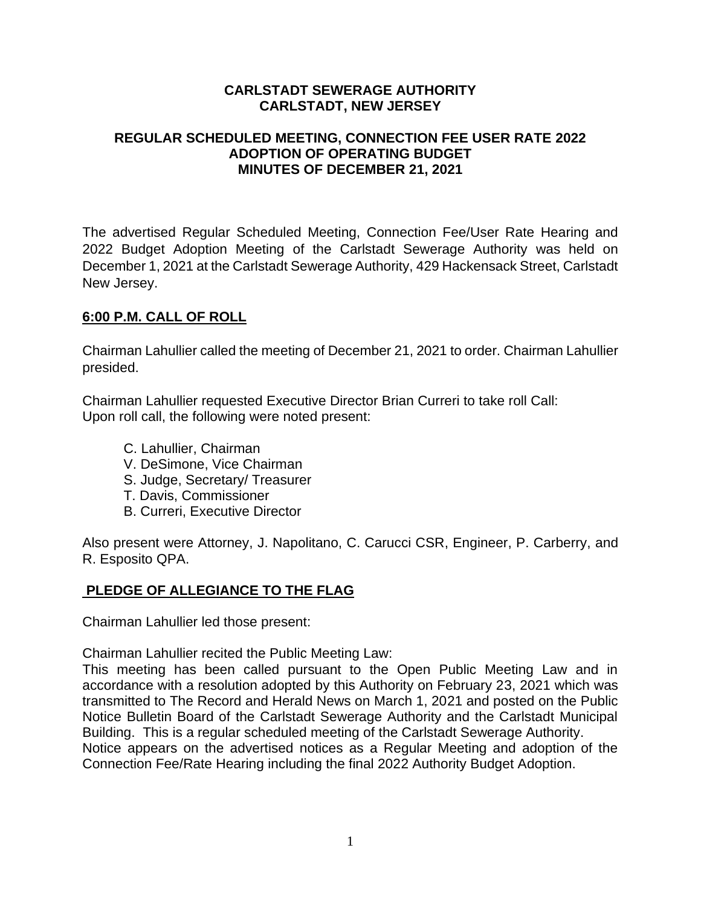### **CARLSTADT SEWERAGE AUTHORITY CARLSTADT, NEW JERSEY**

### **REGULAR SCHEDULED MEETING, CONNECTION FEE USER RATE 2022 ADOPTION OF OPERATING BUDGET MINUTES OF DECEMBER 21, 2021**

The advertised Regular Scheduled Meeting, Connection Fee/User Rate Hearing and 2022 Budget Adoption Meeting of the Carlstadt Sewerage Authority was held on December 1, 2021 at the Carlstadt Sewerage Authority, 429 Hackensack Street, Carlstadt New Jersey.

### **6:00 P.M. CALL OF ROLL**

Chairman Lahullier called the meeting of December 21, 2021 to order. Chairman Lahullier presided.

Chairman Lahullier requested Executive Director Brian Curreri to take roll Call: Upon roll call, the following were noted present:

- C. Lahullier, Chairman
- V. DeSimone, Vice Chairman
- S. Judge, Secretary/ Treasurer
- T. Davis, Commissioner
- B. Curreri, Executive Director

Also present were Attorney, J. Napolitano, C. Carucci CSR, Engineer, P. Carberry, and R. Esposito QPA.

# **PLEDGE OF ALLEGIANCE TO THE FLAG**

Chairman Lahullier led those present:

Chairman Lahullier recited the Public Meeting Law:

This meeting has been called pursuant to the Open Public Meeting Law and in accordance with a resolution adopted by this Authority on February 23, 2021 which was transmitted to The Record and Herald News on March 1, 2021 and posted on the Public Notice Bulletin Board of the Carlstadt Sewerage Authority and the Carlstadt Municipal Building. This is a regular scheduled meeting of the Carlstadt Sewerage Authority. Notice appears on the advertised notices as a Regular Meeting and adoption of the Connection Fee/Rate Hearing including the final 2022 Authority Budget Adoption.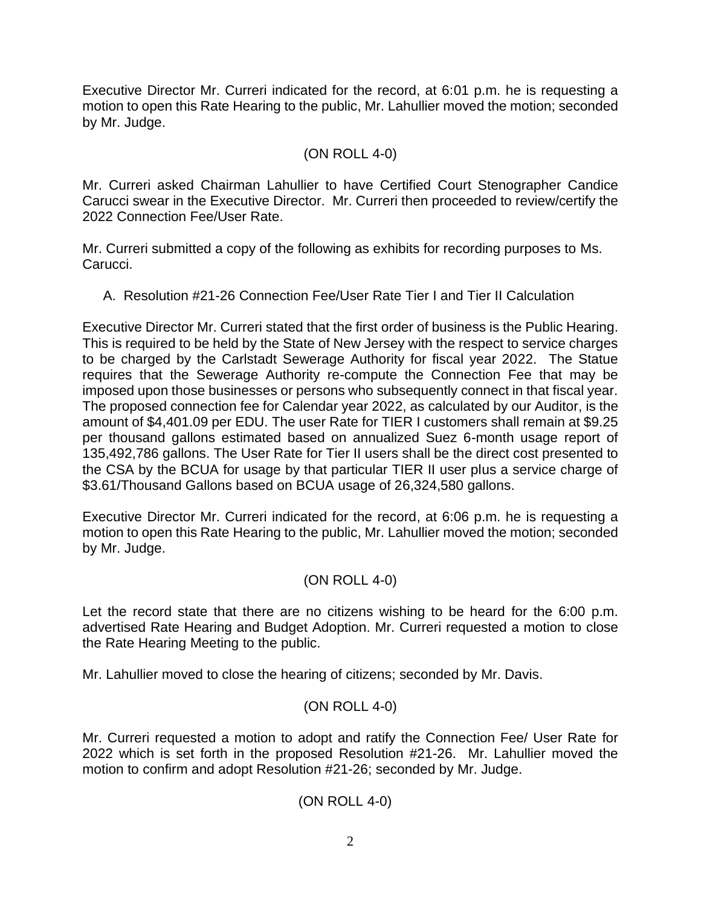Executive Director Mr. Curreri indicated for the record, at 6:01 p.m. he is requesting a motion to open this Rate Hearing to the public, Mr. Lahullier moved the motion; seconded by Mr. Judge.

## (ON ROLL 4-0)

Mr. Curreri asked Chairman Lahullier to have Certified Court Stenographer Candice Carucci swear in the Executive Director. Mr. Curreri then proceeded to review/certify the 2022 Connection Fee/User Rate.

Mr. Curreri submitted a copy of the following as exhibits for recording purposes to Ms. Carucci.

A. Resolution #21-26 Connection Fee/User Rate Tier I and Tier II Calculation

Executive Director Mr. Curreri stated that the first order of business is the Public Hearing. This is required to be held by the State of New Jersey with the respect to service charges to be charged by the Carlstadt Sewerage Authority for fiscal year 2022. The Statue requires that the Sewerage Authority re-compute the Connection Fee that may be imposed upon those businesses or persons who subsequently connect in that fiscal year. The proposed connection fee for Calendar year 2022, as calculated by our Auditor, is the amount of \$4,401.09 per EDU. The user Rate for TIER I customers shall remain at \$9.25 per thousand gallons estimated based on annualized Suez 6-month usage report of 135,492,786 gallons. The User Rate for Tier II users shall be the direct cost presented to the CSA by the BCUA for usage by that particular TIER II user plus a service charge of \$3.61/Thousand Gallons based on BCUA usage of 26,324,580 gallons.

Executive Director Mr. Curreri indicated for the record, at 6:06 p.m. he is requesting a motion to open this Rate Hearing to the public, Mr. Lahullier moved the motion; seconded by Mr. Judge.

# (ON ROLL 4-0)

Let the record state that there are no citizens wishing to be heard for the 6:00 p.m. advertised Rate Hearing and Budget Adoption. Mr. Curreri requested a motion to close the Rate Hearing Meeting to the public.

Mr. Lahullier moved to close the hearing of citizens; seconded by Mr. Davis.

# (ON ROLL 4-0)

Mr. Curreri requested a motion to adopt and ratify the Connection Fee/ User Rate for 2022 which is set forth in the proposed Resolution #21-26. Mr. Lahullier moved the motion to confirm and adopt Resolution #21-26; seconded by Mr. Judge.

# (ON ROLL 4-0)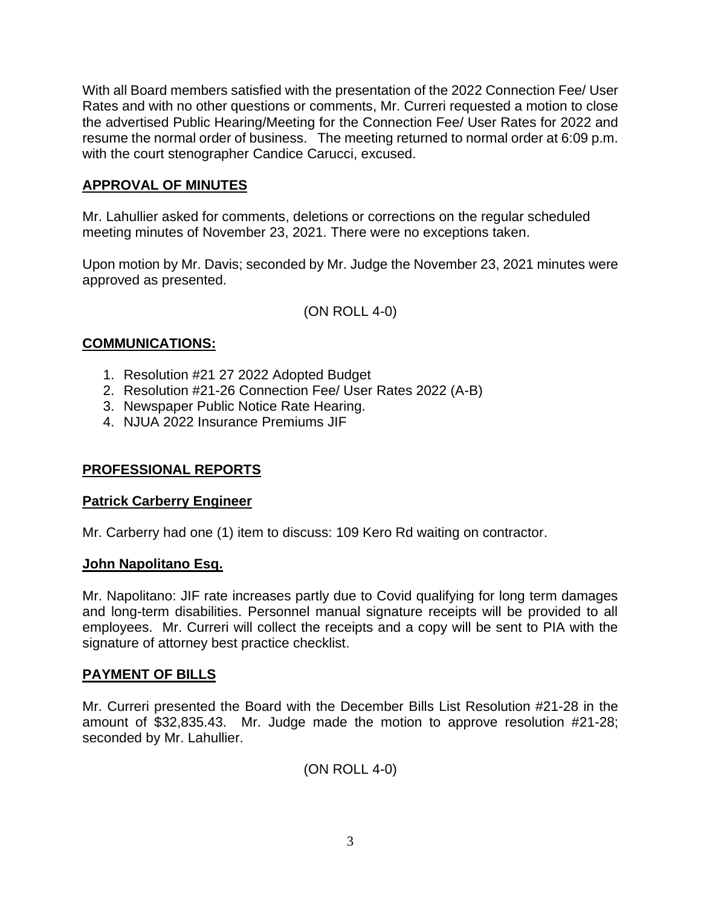With all Board members satisfied with the presentation of the 2022 Connection Fee/ User Rates and with no other questions or comments, Mr. Curreri requested a motion to close the advertised Public Hearing/Meeting for the Connection Fee/ User Rates for 2022 and resume the normal order of business. The meeting returned to normal order at 6:09 p.m. with the court stenographer Candice Carucci, excused.

# **APPROVAL OF MINUTES**

Mr. Lahullier asked for comments, deletions or corrections on the regular scheduled meeting minutes of November 23, 2021. There were no exceptions taken.

Upon motion by Mr. Davis; seconded by Mr. Judge the November 23, 2021 minutes were approved as presented.

(ON ROLL 4-0)

# **COMMUNICATIONS:**

- 1. Resolution #21 27 2022 Adopted Budget
- 2. Resolution #21-26 Connection Fee/ User Rates 2022 (A-B)
- 3. Newspaper Public Notice Rate Hearing.
- 4. NJUA 2022 Insurance Premiums JIF

# **PROFESSIONAL REPORTS**

#### **Patrick Carberry Engineer**

Mr. Carberry had one (1) item to discuss: 109 Kero Rd waiting on contractor.

#### **John Napolitano Esq.**

Mr. Napolitano: JIF rate increases partly due to Covid qualifying for long term damages and long-term disabilities. Personnel manual signature receipts will be provided to all employees. Mr. Curreri will collect the receipts and a copy will be sent to PIA with the signature of attorney best practice checklist.

# **PAYMENT OF BILLS**

Mr. Curreri presented the Board with the December Bills List Resolution #21-28 in the amount of \$32,835.43. Mr. Judge made the motion to approve resolution #21-28; seconded by Mr. Lahullier.

(ON ROLL 4-0)